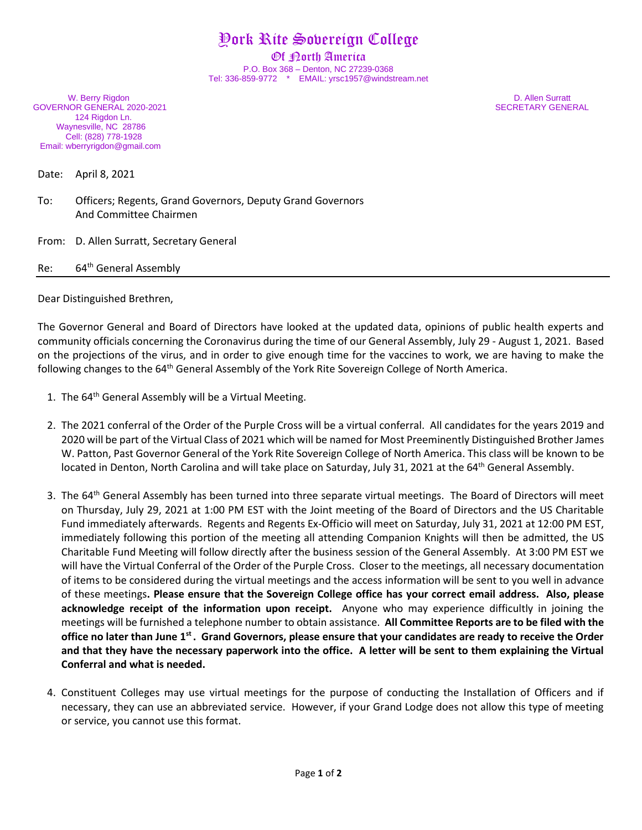## York Rite Sovereign College

Of **Dorth America** P.O. Box 368 – Denton, NC 27239-0368 Tel: 336-859-9772 \* EMAIL: yrsc1957@windstream.net

W. Berry Rigdon **D. Allen Surratt** GOVERNOR GENERAL 2020-2021 SECRETARY GENERAL 124 Rigdon Ln. Waynesville, NC 28786 Cell: (828) 778-1928 Email: wberryrigdon@gmail.com

Date: April 8, 2021

To: Officers; Regents, Grand Governors, Deputy Grand Governors And Committee Chairmen

From: D. Allen Surratt, Secretary General

Re: 64<sup>th</sup> General Assembly

Dear Distinguished Brethren,

The Governor General and Board of Directors have looked at the updated data, opinions of public health experts and community officials concerning the Coronavirus during the time of our General Assembly, July 29 - August 1, 2021. Based on the projections of the virus, and in order to give enough time for the vaccines to work, we are having to make the following changes to the 64<sup>th</sup> General Assembly of the York Rite Sovereign College of North America.

- 1. The 64<sup>th</sup> General Assembly will be a Virtual Meeting.
- 2. The 2021 conferral of the Order of the Purple Cross will be a virtual conferral. All candidates for the years 2019 and 2020 will be part of the Virtual Class of 2021 which will be named for Most Preeminently Distinguished Brother James W. Patton, Past Governor General of the York Rite Sovereign College of North America. This class will be known to be located in Denton, North Carolina and will take place on Saturday, July 31, 2021 at the 64<sup>th</sup> General Assembly.
- 3. The 64<sup>th</sup> General Assembly has been turned into three separate virtual meetings. The Board of Directors will meet on Thursday, July 29, 2021 at 1:00 PM EST with the Joint meeting of the Board of Directors and the US Charitable Fund immediately afterwards. Regents and Regents Ex-Officio will meet on Saturday, July 31, 2021 at 12:00 PM EST, immediately following this portion of the meeting all attending Companion Knights will then be admitted, the US Charitable Fund Meeting will follow directly after the business session of the General Assembly. At 3:00 PM EST we will have the Virtual Conferral of the Order of the Purple Cross. Closer to the meetings, all necessary documentation of items to be considered during the virtual meetings and the access information will be sent to you well in advance of these meetings**. Please ensure that the Sovereign College office has your correct email address. Also, please acknowledge receipt of the information upon receipt.** Anyone who may experience difficultly in joining the meetings will be furnished a telephone number to obtain assistance. **All Committee Reports are to be filed with the**  office no later than June 1<sup>st</sup>. Grand Governors, please ensure that your candidates are ready to receive the Order **and that they have the necessary paperwork into the office. A letter will be sent to them explaining the Virtual Conferral and what is needed.**
- 4. Constituent Colleges may use virtual meetings for the purpose of conducting the Installation of Officers and if necessary, they can use an abbreviated service. However, if your Grand Lodge does not allow this type of meeting or service, you cannot use this format.